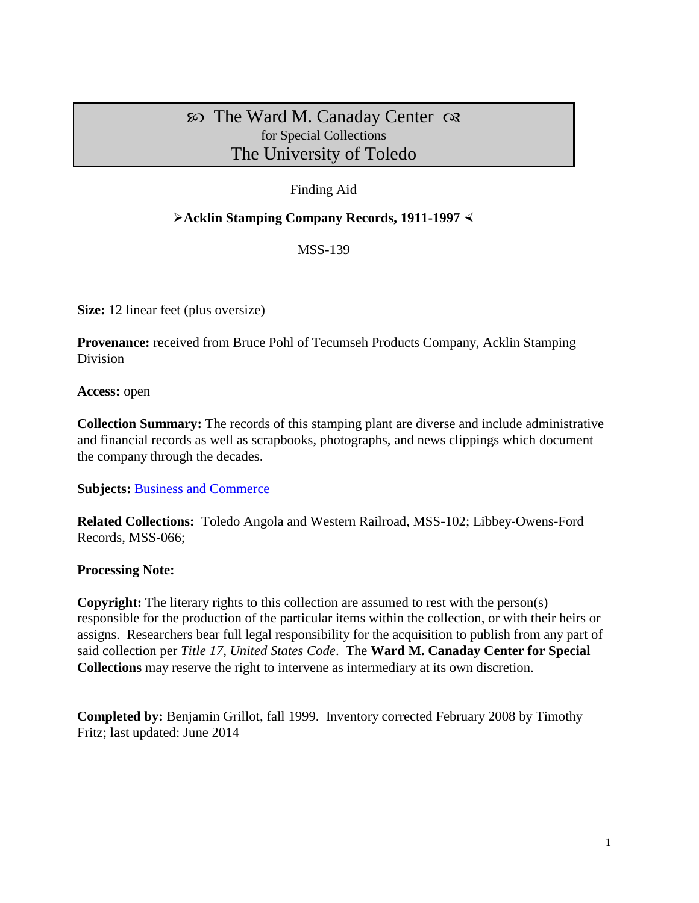# $\infty$  The Ward M. Canaday Center  $\infty$ for Special Collections The University of Toledo

## Finding Aid

#### **Acklin Stamping Company Records, 1911-1997**

MSS-139

**Size:** 12 linear feet (plus oversize)

**Provenance:** received from Bruce Pohl of Tecumseh Products Company, Acklin Stamping Division

**Access:** open

**Collection Summary:** The records of this stamping plant are diverse and include administrative and financial records as well as scrapbooks, photographs, and news clippings which document the company through the decades.

**Subjects: [Business and Commerce](http://www.utoledo.edu/library/canaday/guidepages/business.html)** 

**Related Collections:** Toledo Angola and Western Railroad, MSS-102; Libbey-Owens-Ford Records, MSS-066;

#### **Processing Note:**

**Copyright:** The literary rights to this collection are assumed to rest with the person(s) responsible for the production of the particular items within the collection, or with their heirs or assigns. Researchers bear full legal responsibility for the acquisition to publish from any part of said collection per *Title 17, United States Code*. The **Ward M. Canaday Center for Special Collections** may reserve the right to intervene as intermediary at its own discretion.

**Completed by:** Benjamin Grillot, fall 1999. Inventory corrected February 2008 by Timothy Fritz; last updated: June 2014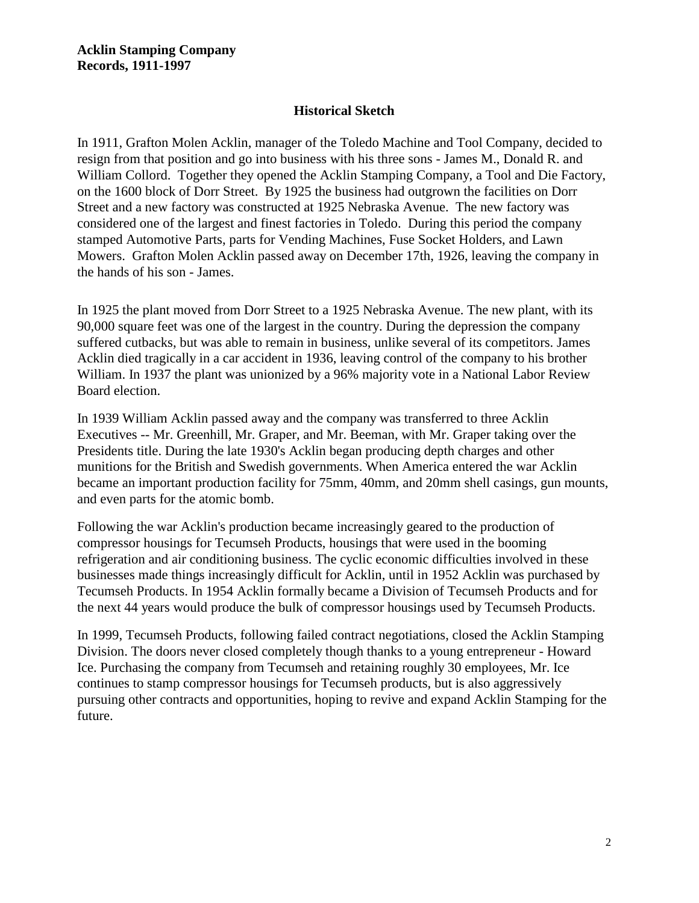#### **Historical Sketch**

In 1911, Grafton Molen Acklin, manager of the Toledo Machine and Tool Company, decided to resign from that position and go into business with his three sons - James M., Donald R. and William Collord. Together they opened the Acklin Stamping Company, a Tool and Die Factory, on the 1600 block of Dorr Street. By 1925 the business had outgrown the facilities on Dorr Street and a new factory was constructed at 1925 Nebraska Avenue. The new factory was considered one of the largest and finest factories in Toledo. During this period the company stamped Automotive Parts, parts for Vending Machines, Fuse Socket Holders, and Lawn Mowers. Grafton Molen Acklin passed away on December 17th, 1926, leaving the company in the hands of his son - James.

In 1925 the plant moved from Dorr Street to a 1925 Nebraska Avenue. The new plant, with its 90,000 square feet was one of the largest in the country. During the depression the company suffered cutbacks, but was able to remain in business, unlike several of its competitors. James Acklin died tragically in a car accident in 1936, leaving control of the company to his brother William. In 1937 the plant was unionized by a 96% majority vote in a National Labor Review Board election.

In 1939 William Acklin passed away and the company was transferred to three Acklin Executives -- Mr. Greenhill, Mr. Graper, and Mr. Beeman, with Mr. Graper taking over the Presidents title. During the late 1930's Acklin began producing depth charges and other munitions for the British and Swedish governments. When America entered the war Acklin became an important production facility for 75mm, 40mm, and 20mm shell casings, gun mounts, and even parts for the atomic bomb.

Following the war Acklin's production became increasingly geared to the production of compressor housings for Tecumseh Products, housings that were used in the booming refrigeration and air conditioning business. The cyclic economic difficulties involved in these businesses made things increasingly difficult for Acklin, until in 1952 Acklin was purchased by Tecumseh Products. In 1954 Acklin formally became a Division of Tecumseh Products and for the next 44 years would produce the bulk of compressor housings used by Tecumseh Products.

In 1999, Tecumseh Products, following failed contract negotiations, closed the Acklin Stamping Division. The doors never closed completely though thanks to a young entrepreneur - Howard Ice. Purchasing the company from Tecumseh and retaining roughly 30 employees, Mr. Ice continues to stamp compressor housings for Tecumseh products, but is also aggressively pursuing other contracts and opportunities, hoping to revive and expand Acklin Stamping for the future.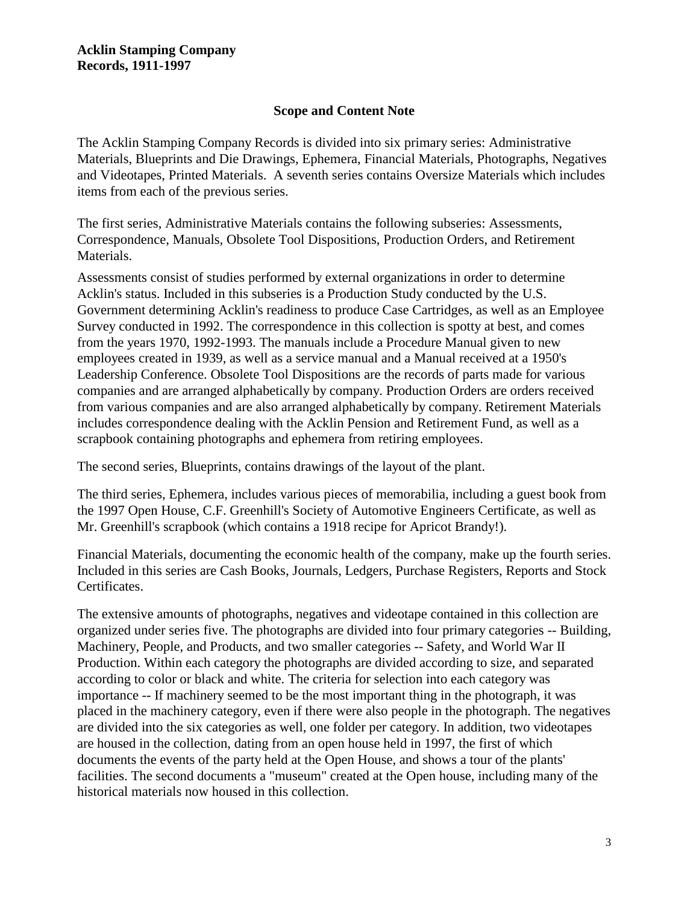### **Scope and Content Note**

The Acklin Stamping Company Records is divided into six primary series: Administrative Materials, Blueprints and Die Drawings, Ephemera, Financial Materials, Photographs, Negatives and Videotapes, Printed Materials. A seventh series contains Oversize Materials which includes items from each of the previous series.

The first series, Administrative Materials contains the following subseries: Assessments, Correspondence, Manuals, Obsolete Tool Dispositions, Production Orders, and Retirement Materials.

Assessments consist of studies performed by external organizations in order to determine Acklin's status. Included in this subseries is a Production Study conducted by the U.S. Government determining Acklin's readiness to produce Case Cartridges, as well as an Employee Survey conducted in 1992. The correspondence in this collection is spotty at best, and comes from the years 1970, 1992-1993. The manuals include a Procedure Manual given to new employees created in 1939, as well as a service manual and a Manual received at a 1950's Leadership Conference. Obsolete Tool Dispositions are the records of parts made for various companies and are arranged alphabetically by company. Production Orders are orders received from various companies and are also arranged alphabetically by company. Retirement Materials includes correspondence dealing with the Acklin Pension and Retirement Fund, as well as a scrapbook containing photographs and ephemera from retiring employees.

The second series, Blueprints, contains drawings of the layout of the plant.

The third series, Ephemera, includes various pieces of memorabilia, including a guest book from the 1997 Open House, C.F. Greenhill's Society of Automotive Engineers Certificate, as well as Mr. Greenhill's scrapbook (which contains a 1918 recipe for Apricot Brandy!).

Financial Materials, documenting the economic health of the company, make up the fourth series. Included in this series are Cash Books, Journals, Ledgers, Purchase Registers, Reports and Stock Certificates.

The extensive amounts of photographs, negatives and videotape contained in this collection are organized under series five. The photographs are divided into four primary categories -- Building, Machinery, People, and Products, and two smaller categories -- Safety, and World War II Production. Within each category the photographs are divided according to size, and separated according to color or black and white. The criteria for selection into each category was importance -- If machinery seemed to be the most important thing in the photograph, it was placed in the machinery category, even if there were also people in the photograph. The negatives are divided into the six categories as well, one folder per category. In addition, two videotapes are housed in the collection, dating from an open house held in 1997, the first of which documents the events of the party held at the Open House, and shows a tour of the plants' facilities. The second documents a "museum" created at the Open house, including many of the historical materials now housed in this collection.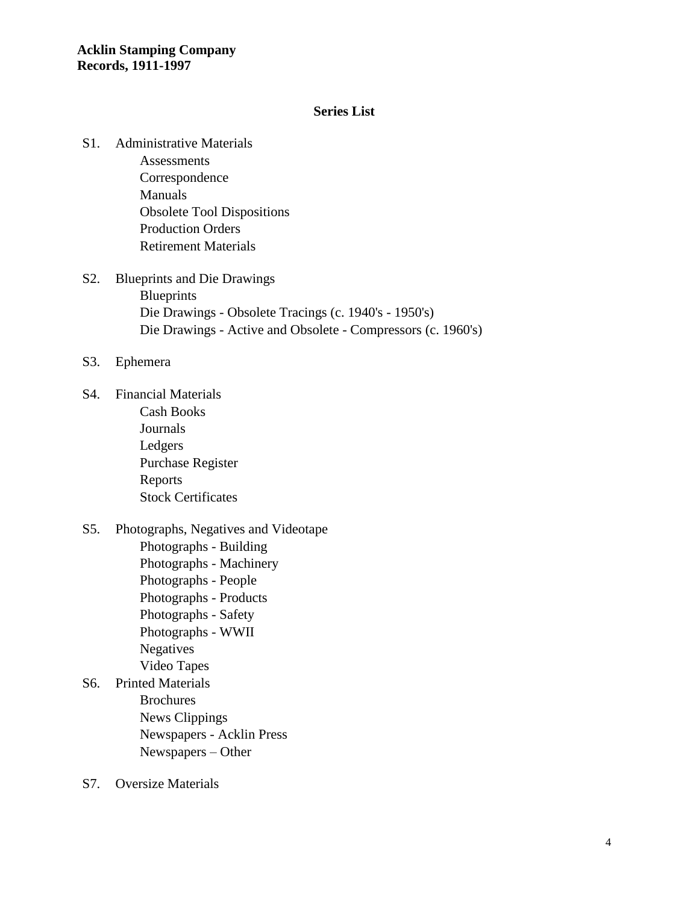#### **Series List**

S1. Administrative Materials

Assessments Correspondence Manuals Obsolete Tool Dispositions Production Orders Retirement Materials

- S2. Blueprints and Die Drawings **Blueprints** Die Drawings - Obsolete Tracings (c. 1940's - 1950's) Die Drawings - Active and Obsolete - Compressors (c. 1960's)
- S3. Ephemera
- S4. Financial Materials Cash Books Journals Ledgers Purchase Register Reports Stock Certificates
- S5. Photographs, Negatives and Videotape Photographs - Building
	- Photographs Machinery Photographs - People Photographs - Products Photographs - Safety Photographs - WWII Negatives Video Tapes
- S6. Printed Materials Brochures News Clippings Newspapers - Acklin Press Newspapers – Other
- S7. Oversize Materials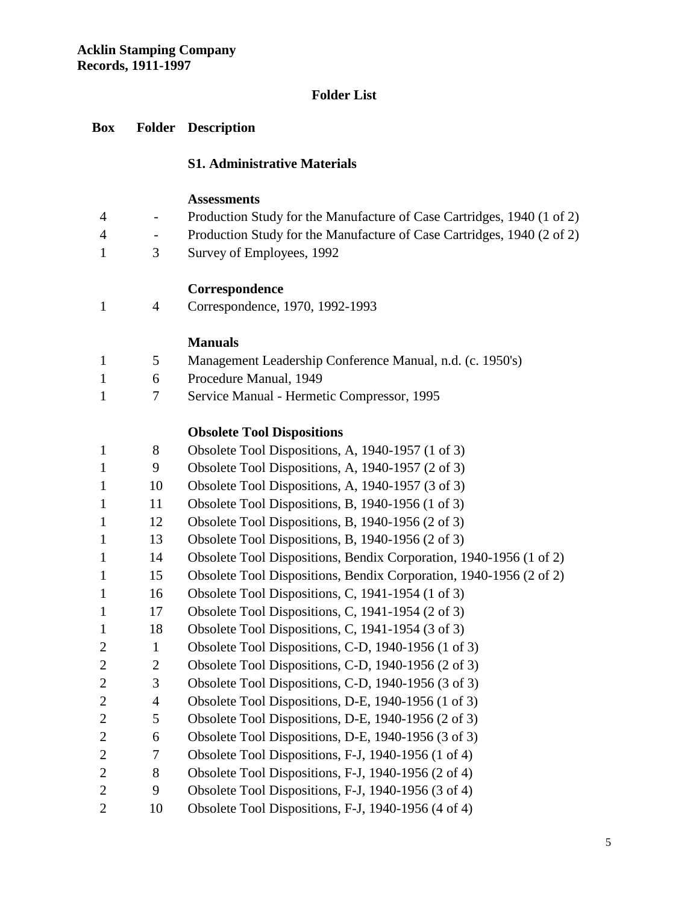## **Folder List**

## **Box Folder Description**

#### **S1. Administrative Materials**

#### **Assessments**

| $\overline{4}$ | $\sim$ | Production Study for the Manufacture of Case Cartridges, 1940 (1 of 2) |
|----------------|--------|------------------------------------------------------------------------|
| $\Delta$       |        | Production Study for the Manufacture of Case Cartridges, 1940 (2 of 2) |
|                |        | Survey of Employees, 1992                                              |

## **Correspondence**

|  | Correspondence, 1970, 1992-1993 |
|--|---------------------------------|
|--|---------------------------------|

## **Manuals**

- 5 Management Leadership Conference Manual, n.d. (c. 1950's)
- 6 Procedure Manual, 1949
- 7 Service Manual Hermetic Compressor, 1995

## **Obsolete Tool Dispositions**

| $\mathbf{1}$   | 8              | Obsolete Tool Dispositions, A, 1940-1957 (1 of 3)                  |
|----------------|----------------|--------------------------------------------------------------------|
| $\mathbf{1}$   | 9              | Obsolete Tool Dispositions, A, 1940-1957 (2 of 3)                  |
| $\mathbf{1}$   | 10             | Obsolete Tool Dispositions, A, 1940-1957 (3 of 3)                  |
| $\mathbf{1}$   | 11             | Obsolete Tool Dispositions, B, 1940-1956 (1 of 3)                  |
| $\mathbf{1}$   | 12             | Obsolete Tool Dispositions, B, 1940-1956 (2 of 3)                  |
| $\mathbf{1}$   | 13             | Obsolete Tool Dispositions, B, 1940-1956 (2 of 3)                  |
| $\mathbf{1}$   | 14             | Obsolete Tool Dispositions, Bendix Corporation, 1940-1956 (1 of 2) |
| $\mathbf{1}$   | 15             | Obsolete Tool Dispositions, Bendix Corporation, 1940-1956 (2 of 2) |
| $\mathbf{1}$   | 16             | Obsolete Tool Dispositions, C, 1941-1954 (1 of 3)                  |
| $\mathbf{1}$   | 17             | Obsolete Tool Dispositions, C, 1941-1954 (2 of 3)                  |
| $\mathbf{1}$   | 18             | Obsolete Tool Dispositions, C, 1941-1954 (3 of 3)                  |
| $\overline{2}$ | $\mathbf{1}$   | Obsolete Tool Dispositions, C-D, 1940-1956 (1 of 3)                |
| $\overline{2}$ | $\overline{2}$ | Obsolete Tool Dispositions, C-D, 1940-1956 (2 of 3)                |
| $\overline{2}$ | 3              | Obsolete Tool Dispositions, C-D, 1940-1956 (3 of 3)                |
| $\overline{2}$ | $\overline{4}$ | Obsolete Tool Dispositions, D-E, 1940-1956 (1 of 3)                |
| $\overline{2}$ | 5              | Obsolete Tool Dispositions, D-E, 1940-1956 (2 of 3)                |
| $\overline{2}$ | 6              | Obsolete Tool Dispositions, D-E, 1940-1956 (3 of 3)                |
| $\overline{2}$ | 7              | Obsolete Tool Dispositions, F-J, 1940-1956 (1 of 4)                |
| $\overline{2}$ | 8              | Obsolete Tool Dispositions, F-J, 1940-1956 (2 of 4)                |
| $\overline{2}$ | 9              | Obsolete Tool Dispositions, F-J, 1940-1956 (3 of 4)                |
| $\overline{2}$ | 10             | Obsolete Tool Dispositions, F-J, 1940-1956 (4 of 4)                |
|                |                |                                                                    |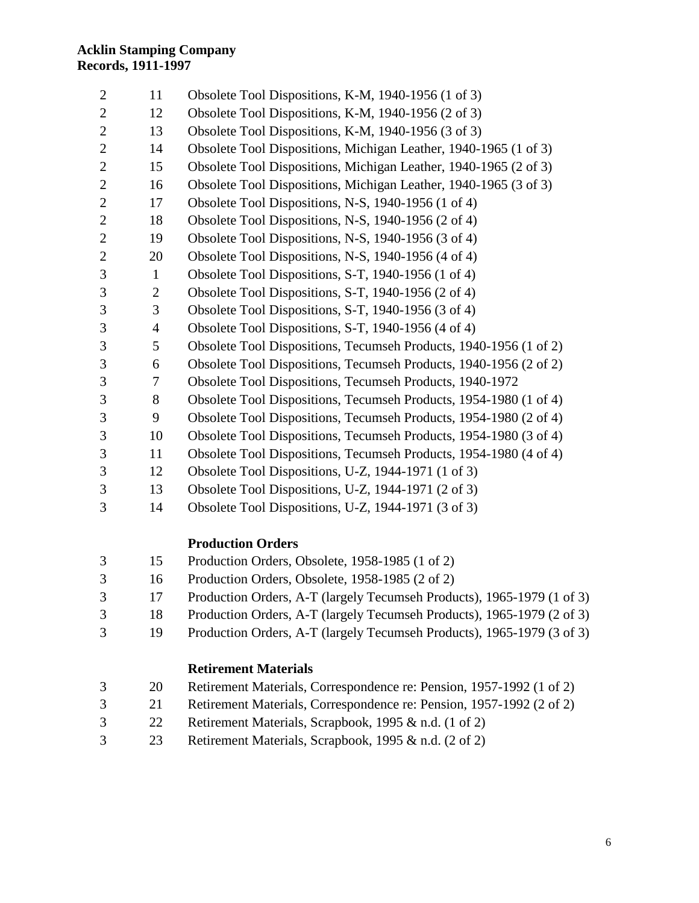| $\mathbf{2}$   | 11             | Obsolete Tool Dispositions, K-M, 1940-1956 (1 of 3)               |
|----------------|----------------|-------------------------------------------------------------------|
| $\overline{2}$ | 12             | Obsolete Tool Dispositions, K-M, 1940-1956 (2 of 3)               |
| $\overline{2}$ | 13             | Obsolete Tool Dispositions, K-M, 1940-1956 (3 of 3)               |
| $\overline{2}$ | 14             | Obsolete Tool Dispositions, Michigan Leather, 1940-1965 (1 of 3)  |
| $\mathbf{2}$   | 15             | Obsolete Tool Dispositions, Michigan Leather, 1940-1965 (2 of 3)  |
| $\mathbf{2}$   | 16             | Obsolete Tool Dispositions, Michigan Leather, 1940-1965 (3 of 3)  |
| $\overline{2}$ | 17             | Obsolete Tool Dispositions, N-S, 1940-1956 (1 of 4)               |
| $\overline{2}$ | 18             | Obsolete Tool Dispositions, N-S, 1940-1956 (2 of 4)               |
| $\overline{2}$ | 19             | Obsolete Tool Dispositions, N-S, 1940-1956 (3 of 4)               |
| $\overline{2}$ | 20             | Obsolete Tool Dispositions, N-S, 1940-1956 (4 of 4)               |
| $\mathfrak{Z}$ | $\mathbf{1}$   | Obsolete Tool Dispositions, S-T, 1940-1956 (1 of 4)               |
| 3              | $\overline{2}$ | Obsolete Tool Dispositions, S-T, 1940-1956 (2 of 4)               |
| 3              | 3              | Obsolete Tool Dispositions, S-T, 1940-1956 (3 of 4)               |
| 3              | $\overline{4}$ | Obsolete Tool Dispositions, S-T, 1940-1956 (4 of 4)               |
| 3              | 5              | Obsolete Tool Dispositions, Tecumseh Products, 1940-1956 (1 of 2) |
| 3              | 6              | Obsolete Tool Dispositions, Tecumseh Products, 1940-1956 (2 of 2) |
| 3              | 7              | Obsolete Tool Dispositions, Tecumseh Products, 1940-1972          |
| 3              | 8              | Obsolete Tool Dispositions, Tecumseh Products, 1954-1980 (1 of 4) |
| $\mathfrak{Z}$ | 9              | Obsolete Tool Dispositions, Tecumseh Products, 1954-1980 (2 of 4) |
| 3              | 10             | Obsolete Tool Dispositions, Tecumseh Products, 1954-1980 (3 of 4) |
| 3              | 11             | Obsolete Tool Dispositions, Tecumseh Products, 1954-1980 (4 of 4) |
| 3              | 12             | Obsolete Tool Dispositions, U-Z, 1944-1971 (1 of 3)               |
| 3              | 13             | Obsolete Tool Dispositions, U-Z, 1944-1971 (2 of 3)               |
| 3              | 14             | Obsolete Tool Dispositions, U-Z, 1944-1971 (3 of 3)               |

### **Production Orders**

- 15 Production Orders, Obsolete, 1958-1985 (1 of 2)
- 16 Production Orders, Obsolete, 1958-1985 (2 of 2)
- 17 Production Orders, A-T (largely Tecumseh Products), 1965-1979 (1 of 3)
- 18 Production Orders, A-T (largely Tecumseh Products), 1965-1979 (2 of 3)
- 19 Production Orders, A-T (largely Tecumseh Products), 1965-1979 (3 of 3)

### **Retirement Materials**

- 20 Retirement Materials, Correspondence re: Pension, 1957-1992 (1 of 2)
- 21 Retirement Materials, Correspondence re: Pension, 1957-1992 (2 of 2)
- 22 Retirement Materials, Scrapbook, 1995 & n.d. (1 of 2)
- 23 Retirement Materials, Scrapbook, 1995 & n.d. (2 of 2)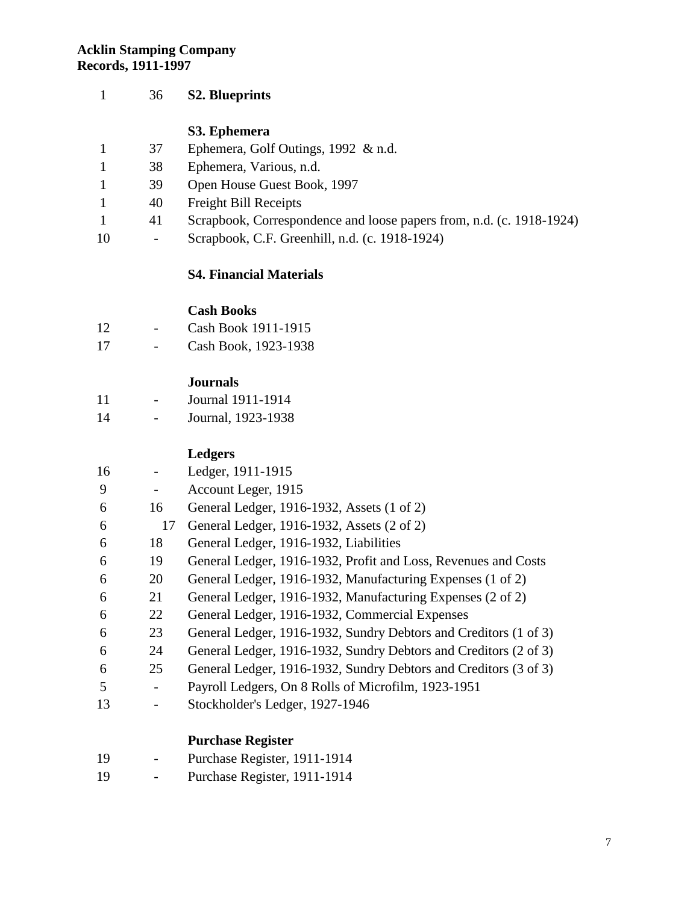| 1            | 36 | <b>S2. Blueprints</b>                                                |
|--------------|----|----------------------------------------------------------------------|
|              |    | S3. Ephemera                                                         |
| $\mathbf{1}$ | 37 | Ephemera, Golf Outings, 1992 & n.d.                                  |
| 1            | 38 | Ephemera, Various, n.d.                                              |
| $\mathbf{1}$ | 39 | Open House Guest Book, 1997                                          |
| $\mathbf{1}$ | 40 | <b>Freight Bill Receipts</b>                                         |
| $\mathbf{1}$ | 41 | Scrapbook, Correspondence and loose papers from, n.d. (c. 1918-1924) |
| 10           |    | Scrapbook, C.F. Greenhill, n.d. (c. 1918-1924)                       |
|              |    | <b>S4. Financial Materials</b>                                       |

## **Cash Books**

| 12 | Cash Book 1911-1915 |
|----|---------------------|
|----|---------------------|

- Cash Book, 1923-1938

## **Journals**

| 11 | Journal 1911-1914  |
|----|--------------------|
| 14 | Journal, 1923-1938 |

# **Ledgers**

| 16 |    | Ledger, 1911-1915                                                |
|----|----|------------------------------------------------------------------|
| 9  |    | Account Leger, 1915                                              |
| 6  | 16 | General Ledger, 1916-1932, Assets (1 of 2)                       |
| 6  | 17 | General Ledger, 1916-1932, Assets (2 of 2)                       |
| 6  | 18 | General Ledger, 1916-1932, Liabilities                           |
| 6  | 19 | General Ledger, 1916-1932, Profit and Loss, Revenues and Costs   |
| 6  | 20 | General Ledger, 1916-1932, Manufacturing Expenses (1 of 2)       |
| 6  | 21 | General Ledger, 1916-1932, Manufacturing Expenses (2 of 2)       |
| 6  | 22 | General Ledger, 1916-1932, Commercial Expenses                   |
| 6  | 23 | General Ledger, 1916-1932, Sundry Debtors and Creditors (1 of 3) |
| 6  | 24 | General Ledger, 1916-1932, Sundry Debtors and Creditors (2 of 3) |
| 6  | 25 | General Ledger, 1916-1932, Sundry Debtors and Creditors (3 of 3) |
| 5  |    | Payroll Ledgers, On 8 Rolls of Microfilm, 1923-1951              |
| 13 |    | Stockholder's Ledger, 1927-1946                                  |
|    |    | <b>Purchase Register</b>                                         |
| 19 |    | Purchase Register, 1911-1914                                     |

- Purchase Register, 1911-1914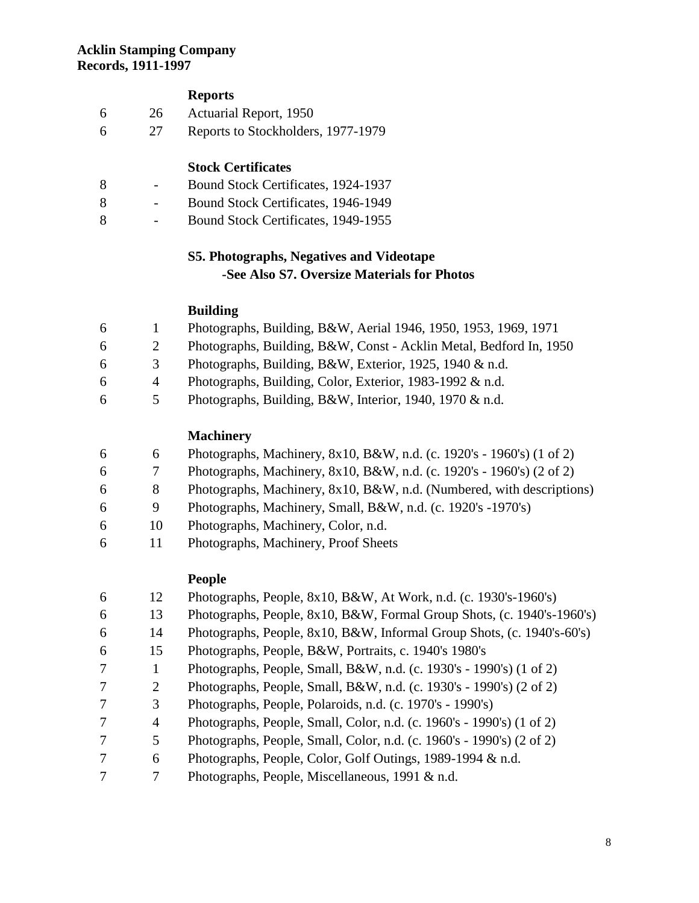### **Reports**

| 6 | 26 | Actuarial Report, 1950             |
|---|----|------------------------------------|
| 6 |    | Reports to Stockholders, 1977-1979 |

#### **Stock Certificates**

- Bound Stock Certificates, 1924-1937
- Bound Stock Certificates, 1946-1949
- Bound Stock Certificates, 1949-1955

## **S5. Photographs, Negatives and Videotape -See Also S7. Oversize Materials for Photos**

#### **Building**

|  |  | Photographs, Building, B&W, Aerial 1946, 1950, 1953, 1969, 1971 |  |  |  |  |  |  |  |  |
|--|--|-----------------------------------------------------------------|--|--|--|--|--|--|--|--|
|--|--|-----------------------------------------------------------------|--|--|--|--|--|--|--|--|

- 2 Photographs, Building, B&W, Const Acklin Metal, Bedford In, 1950
- 3 Photographs, Building, B&W, Exterior, 1925, 1940 & n.d.
- 4 Photographs, Building, Color, Exterior, 1983-1992 & n.d.
- 5 Photographs, Building, B&W, Interior, 1940, 1970 & n.d.

#### **Machinery**

- 6 Photographs, Machinery, 8x10, B&W, n.d. (c. 1920's 1960's) (1 of 2)
- 7 Photographs, Machinery, 8x10, B&W, n.d. (c. 1920's 1960's) (2 of 2)
- 8 Photographs, Machinery, 8x10, B&W, n.d. (Numbered, with descriptions)
- 9 Photographs, Machinery, Small, B&W, n.d. (c. 1920's -1970's)
- 10 Photographs, Machinery, Color, n.d.
- 11 Photographs, Machinery, Proof Sheets

#### **People**

| 6              | 12 | Photographs, People, 8x10, B&W, At Work, n.d. (c. 1930's-1960's)       |
|----------------|----|------------------------------------------------------------------------|
| 6              | 13 | Photographs, People, 8x10, B&W, Formal Group Shots, (c. 1940's-1960's) |
| 6              | 14 | Photographs, People, 8x10, B&W, Informal Group Shots, (c. 1940's-60's) |
| 6              | 15 | Photographs, People, B&W, Portraits, c. 1940's 1980's                  |
| $\overline{7}$ | 1  | Photographs, People, Small, B&W, n.d. (c. 1930's - 1990's) (1 of 2)    |
| 7              | 2  | Photographs, People, Small, B&W, n.d. (c. 1930's - 1990's) (2 of 2)    |
| 7              | 3  | Photographs, People, Polaroids, n.d. (c. 1970's - 1990's)              |
| 7              | 4  | Photographs, People, Small, Color, n.d. (c. 1960's - 1990's) (1 of 2)  |
| 7              | 5  | Photographs, People, Small, Color, n.d. (c. 1960's - 1990's) (2 of 2)  |
| 7              | 6  | Photographs, People, Color, Golf Outings, 1989-1994 & n.d.             |
| 7              | 7  | Photographs, People, Miscellaneous, 1991 & n.d.                        |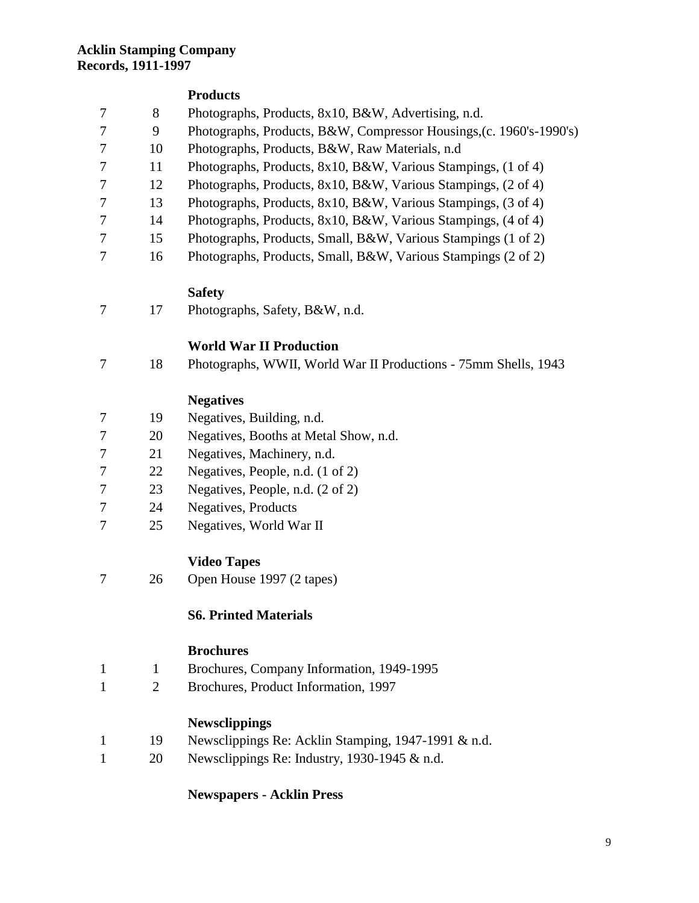#### **Products**

- 8 Photographs, Products, 8x10, B&W, Advertising, n.d.
- 9 Photographs, Products, B&W, Compressor Housings,(c. 1960's-1990's)
- 10 Photographs, Products, B&W, Raw Materials, n.d
- 11 Photographs, Products, 8x10, B&W, Various Stampings, (1 of 4)
- 12 Photographs, Products, 8x10, B&W, Various Stampings, (2 of 4)
- 13 Photographs, Products, 8x10, B&W, Various Stampings, (3 of 4)
- 14 Photographs, Products, 8x10, B&W, Various Stampings, (4 of 4)
- 15 Photographs, Products, Small, B&W, Various Stampings (1 of 2)
- 16 Photographs, Products, Small, B&W, Various Stampings (2 of 2)

### **Safety**

17 Photographs, Safety, B&W, n.d.

## **World War II Production**

18 Photographs, WWII, World War II Productions - 75mm Shells, 1943

### **Negatives**

- 19 Negatives, Building, n.d.
- 20 Negatives, Booths at Metal Show, n.d.
- 21 Negatives, Machinery, n.d.
- 22 Negatives, People, n.d. (1 of 2)
- 23 Negatives, People, n.d. (2 of 2)
- 24 Negatives, Products
- 25 Negatives, World War II

### **Video Tapes**

26 Open House 1997 (2 tapes)

### **S6. Printed Materials**

#### **Brochures**

- 1 Brochures, Company Information, 1949-1995
- 2 Brochures, Product Information, 1997

### **Newsclippings**

- 19 Newsclippings Re: Acklin Stamping, 1947-1991 & n.d.
- 20 Newsclippings Re: Industry, 1930-1945 & n.d.

#### **Newspapers - Acklin Press**